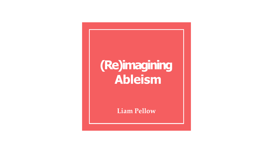### **(Re)imagining Ableism**

**Liam Pellow**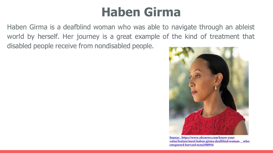#### **Haben Girma**

Haben Girma is a deafblind woman who was able to navigate through an ableist world by herself. Her journey is a great example of the kind of treatment that disabled people receive from nondisabled people.



**Source: https://www.nbcnews.com/know-your[value/feature/meet-haben-girma-deafblind-woman-](https://www.nbcnews.com/know-your-value/feature/meet-haben-girma-deafblind-woman-who-conquered-harvard-ncna1040916) whoconquered-harvard-ncna1040916**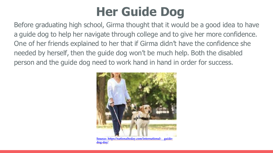## **Her Guide Dog**

Before graduating high school, Girma thought that it would be a good idea to have a guide dog to help her navigate through college and to give her more confidence. One of her friends explained to her that if Girma didn't have the confidence she needed by herself, then the guide dog won't be much help. Both the disabled person and the guide dog need to work hand in hand in order for success.



**Source: [https://nationaltoday.com/international-](https://nationaltoday.com/international-guide-dog-day) guidedog-day/**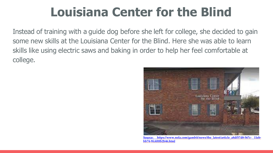### **Louisiana Center for the Blind**

Instead of training with a guide dog before she left for college, she decided to gain some new skills at the Louisiana Center for the Blind. Here she was able to learn skills like using electric saws and baking in order to help her feel comfortable at college.



**Source: [https://www.nola.com/gambit/news/the\\_latest/article\\_a8df57d8-567c-](https://www.nola.com/gambit/news/the_latest/article_a8df57d8-567c-11eb-bb74-9fc4f0fb2b46.htm) 11ebbb74-9fc4f0fb2b46.html**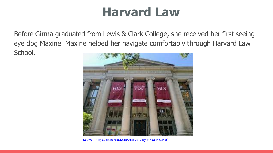#### **Harvard Law**

Before Girma graduated from Lewis & Clark College, she received her first seeing eye dog Maxine. Maxine helped her navigate comfortably through Harvard Law School.



**Source: [https://hls.harvard.edu/2018-2019-by-the-numbers-2/](https://hls.harvard.edu/2018-2019-by-the-numbers-2)**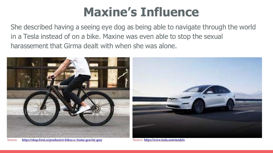### **Maxine's Influence**

She described having a seeing eye dog as being able to navigate through the world in a Tesla instead of on a bike. Maxine was even able to stop the sexual harassement that Girma dealt with when she was alone.



**Source: <https://shop.bird.co/products/e-bikes-a-frame-gravity-gray> Source: <https://www.tesla.com/modelx>**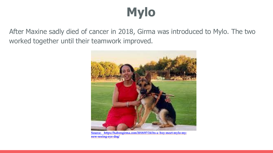# **Mylo**

After Maxine sadly died of cancer in 2018, Girma was introduced to Mylo. The two worked together until their teamwork improved.



**Source: [https://habengirma.com/2018/07/24/its-a-boy-meet-mylo-my](https://habengirma.com/2018/07/24/its-a-boy-meet-mylo-my-new-seeing-eye-dog/)new-seeing-eye-dog/**